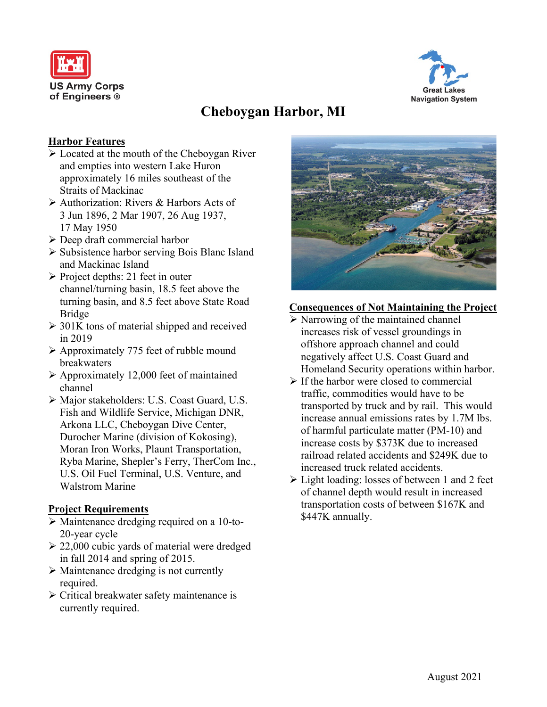



# **Cheboygan Harbor, MI**

### **Harbor Features**

- Located at the mouth of the Cheboygan River and empties into western Lake Huron approximately 16 miles southeast of the Straits of Mackinac
- Authorization: Rivers & Harbors Acts of 3 Jun 1896, 2 Mar 1907, 26 Aug 1937, 17 May 1950
- Deep draft commercial harbor
- Subsistence harbor serving Bois Blanc Island and Mackinac Island
- $\triangleright$  Project depths: 21 feet in outer channel/turning basin, 18.5 feet above the turning basin, and 8.5 feet above State Road Bridge
- $\geq$  301K tons of material shipped and received in 2019
- $\triangleright$  Approximately 775 feet of rubble mound breakwaters
- $\triangleright$  Approximately 12,000 feet of maintained channel
- Major stakeholders: U.S. Coast Guard, U.S. Fish and Wildlife Service, Michigan DNR, Arkona LLC, Cheboygan Dive Center, Durocher Marine (division of Kokosing), Moran Iron Works, Plaunt Transportation, Ryba Marine, Shepler's Ferry, TherCom Inc., U.S. Oil Fuel Terminal, U.S. Venture, and Walstrom Marine

### **Project Requirements**

- Maintenance dredging required on a 10-to-20-year cycle
- $\geq$  22,000 cubic yards of material were dredged in fall 2014 and spring of 2015.
- $\triangleright$  Maintenance dredging is not currently required.
- Critical breakwater safety maintenance is currently required.



### **Consequences of Not Maintaining the Project**

- $\triangleright$  Narrowing of the maintained channel increases risk of vessel groundings in offshore approach channel and could negatively affect U.S. Coast Guard and Homeland Security operations within harbor.
- $\triangleright$  If the harbor were closed to commercial traffic, commodities would have to be transported by truck and by rail. This would increase annual emissions rates by 1.7M lbs. of harmful particulate matter (PM-10) and increase costs by \$373K due to increased railroad related accidents and \$249K due to increased truck related accidents.
- $\triangleright$  Light loading: losses of between 1 and 2 feet of channel depth would result in increased transportation costs of between \$167K and \$447K annually.